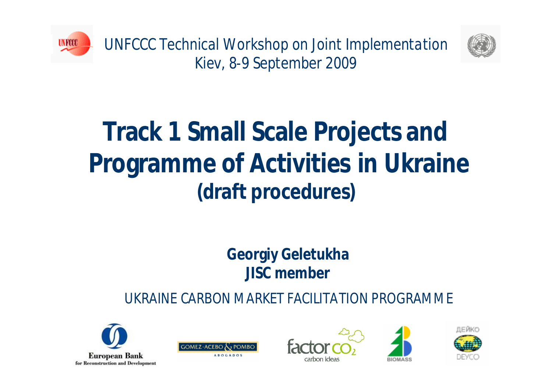

*UNFCCC Technical Workshop on Joint Implementation Kiev, 8-9 September 2009*



# **Track 1 Small Scale Projects and Programme of Activities in Ukraine (draft procedures)**

### **Georgiy Geletukha JISC member**

*UKRAINE CARBON MARKET FACILITATION PROGRAMME*









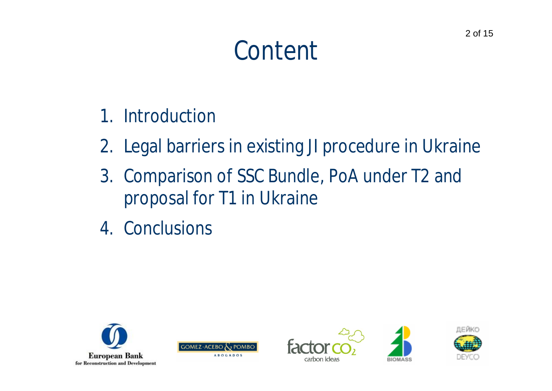# *Content*

- 1. Introduction
- 2. Legal barriers in existing JI procedure in Ukraine
- 3. Comparison of SSC Bundle, PoA under T2 and proposal for T1 in Ukraine
- 4. Conclusions









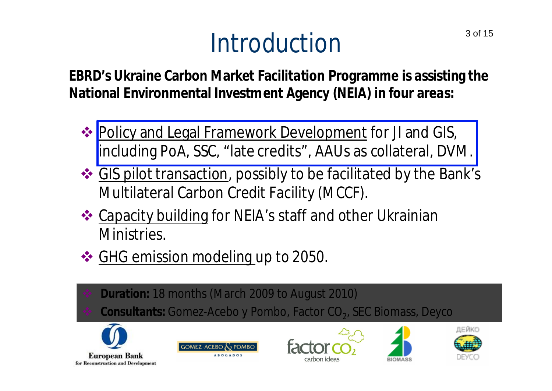# *Introduction*<sup>3 of 15</sup>

**EBRD's Ukraine Carbon Market Facilitation Programme is assisting the National Environmental Investment Agency (NEIA) in four areas:**

- **❖ Policy and Legal Framework Development for JI and GIS,** including PoA, SSC, "late credits" , AAUs as collateral, DVM.
- GIS pilot transaction, possibly to be facilitated by the Bank's Multilateral Carbon Credit Facility (MCCF).
- ❖ Capacity building for NEIA's staff and other Ukrainian Ministries.
- **❖ GHG emission modeling up to 2050.** 
	- **Duration:** 18 months (March 2009 to August 2010)
- ◆ Consultants: Gomez-Acebo y Pombo, Factor CO<sub>2</sub>, SEC Biomass, Deyco



**European Bank** for Reconstruction and Development







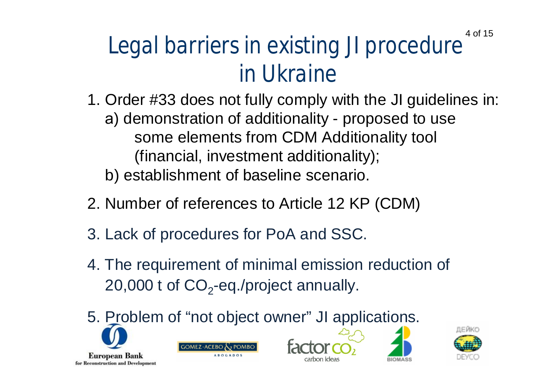### *Legal barriers in existing JI procedure in Ukraine* 4 of 15

- 1. Order #33 does not fully comply with the JI guidelines in: а) demonstration of additionality - proposed to use some elements from CDM Additionality tool (financial, investment additionality); b) establishment of baseline scenario.
- 2. Number of references to Article 12 KP (CDM)
- 3. Lack of procedures for PoA and SSC.
- 4. The requirement of minimal emission reduction of 20,000 t of  $\mathsf{CO}_2$ -eq./project annually.
- 5. Problem of "not object owner" JI applications.









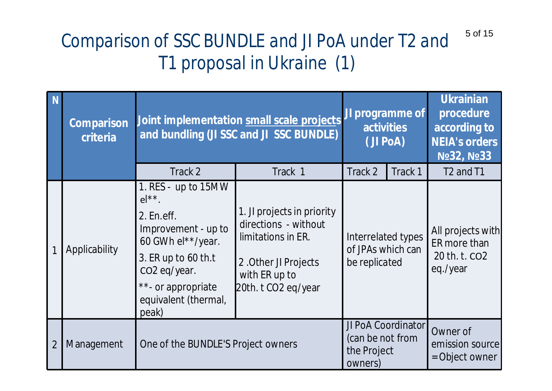#### *Comparison of SSC BUNDLE and JI PoA under T2 and T1 proposal in Ukraine (1)* 5 of 15

| N              | <b>Comparison</b><br>criteria | Joint implementation small scale projects<br>and bundling (JI SSC and JI SSC BUNDLE)                                                                                                                | JI programme of<br><b>activities</b><br>(JI PoA)                                                                                         |                                                          | <b>Ukrainian</b><br>procedure<br>according to<br><b>NEIA's orders</b><br>No 32, No 33 |                                                                |
|----------------|-------------------------------|-----------------------------------------------------------------------------------------------------------------------------------------------------------------------------------------------------|------------------------------------------------------------------------------------------------------------------------------------------|----------------------------------------------------------|---------------------------------------------------------------------------------------|----------------------------------------------------------------|
|                |                               | Track 2                                                                                                                                                                                             | Track 1                                                                                                                                  | Track 2                                                  | Track 1                                                                               | T <sub>2</sub> and T <sub>1</sub>                              |
|                | Applicability                 | 1. RES - up to 15MW<br>$el**$ .<br>2. En.eff.<br>Improvement - up to<br>60 GWh el**/year.<br>3. ER up to 60 th.t<br>CO <sub>2</sub> eq/year.<br>**- or appropriate<br>equivalent (thermal,<br>peak) | 1. JI projects in priority<br>directions - without<br>limitations in ER.<br>2. Other JI Projects<br>with ER up to<br>20th. t CO2 eq/year | Interrelated types<br>of JPAs which can<br>be replicated |                                                                                       | All projects with<br>ER more than<br>20 th. t. CO2<br>eq./year |
| $\overline{2}$ | Management                    | One of the BUNDLE'S Project owners                                                                                                                                                                  |                                                                                                                                          | (can be not from<br>the Project<br>owners)               | JI PoA Coordinator                                                                    | Owner of<br>emission source<br>= Object owner                  |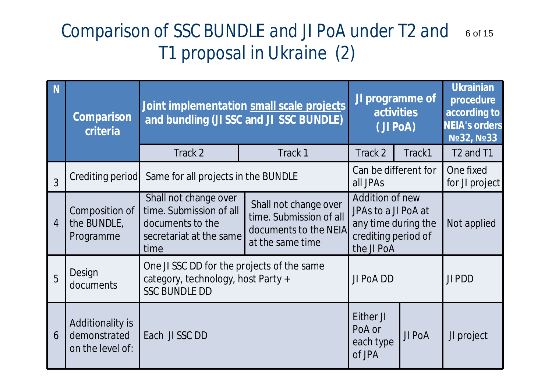### *Comparison of SSC BUNDLE and JI PoA under T2 and* 6 of 15*T1 proposal in Ukraine (2)*

| <b>N</b>       | <b>Comparison</b><br>criteria                        |                                                                                                          | Joint implementation small scale projects<br>and bundling (JI SSC and JI SSC BUNDLE)          |                                                                                                    | JI programme of<br><b>activities</b><br>(JI PoA) |                                   |
|----------------|------------------------------------------------------|----------------------------------------------------------------------------------------------------------|-----------------------------------------------------------------------------------------------|----------------------------------------------------------------------------------------------------|--------------------------------------------------|-----------------------------------|
|                |                                                      | Track 2                                                                                                  | Track 1                                                                                       | Track 2                                                                                            | Track1                                           | T <sub>2</sub> and T <sub>1</sub> |
| 3              |                                                      | Crediting period Same for all projects in the BUNDLE                                                     |                                                                                               | Can be different for<br>all JPAs                                                                   |                                                  |                                   |
| $\overline{4}$ | Composition of<br>the BUNDLE,<br>Programme           | Shall not change over<br>time. Submission of all<br>documents to the<br>secretariat at the same<br>time  | Shall not change over<br>time. Submission of all<br>documents to the NEIA<br>at the same time | Addition of new<br>JPAs to a JI PoA at<br>any time during the<br>crediting period of<br>the JI PoA |                                                  | Not applied                       |
| 5              | Design<br>documents                                  | One JI SSC DD for the projects of the same<br>category, technology, host Party +<br><b>SSC BUNDLE DD</b> |                                                                                               | JI PoA DD                                                                                          |                                                  | JI PDD                            |
| 6              | Additionality is<br>demonstrated<br>on the level of: | Each JI SSC DD                                                                                           |                                                                                               | Either JI<br>PoA or<br>each type<br>of JPA                                                         | JI PoA                                           | JI project                        |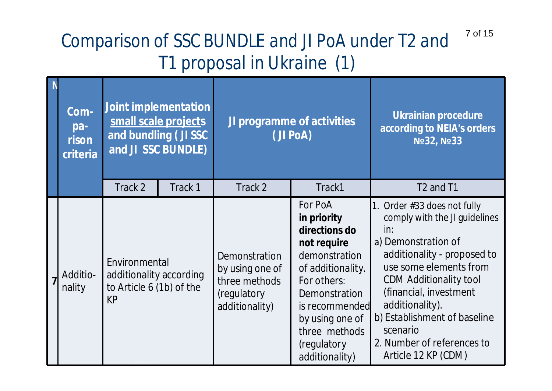#### *Comparison of SSC BUNDLE and JI PoA under T2 and T1 proposal in Ukraine (1)* 7 of 15

| Joint implementation<br>Com-<br>small scale projects<br>pa-<br>and bundling (JI SSC<br>rison<br>and JI SSC BUNDLE)<br>criteria |                                                                                   |         | JI programme of activities<br>(JI PoA)                                                    | <b>Ukrainian procedure</b><br>according to NEIA's orders<br>No 32, No 33                                                                                                                                            |                                                                                                                                                                                                                                                                                                                                      |
|--------------------------------------------------------------------------------------------------------------------------------|-----------------------------------------------------------------------------------|---------|-------------------------------------------------------------------------------------------|---------------------------------------------------------------------------------------------------------------------------------------------------------------------------------------------------------------------|--------------------------------------------------------------------------------------------------------------------------------------------------------------------------------------------------------------------------------------------------------------------------------------------------------------------------------------|
|                                                                                                                                | Track 2                                                                           | Track 1 | Track 2                                                                                   | Track1                                                                                                                                                                                                              | T <sub>2</sub> and T <sub>1</sub>                                                                                                                                                                                                                                                                                                    |
| Additio-<br>nality                                                                                                             | Environmental<br>additionality according<br>to Article 6 (1b) of the<br><b>KP</b> |         | <b>Demonstration</b><br>by using one of<br>three methods<br>(regulatory<br>additionality) | For PoA<br>in priority<br>directions do<br>not require<br>demonstration<br>of additionality.<br>For others:<br>Demonstration<br>is recommended<br>by using one of<br>three methods<br>(regulatory<br>additionality) | 1. Order $#33$ does not fully<br>comply with the JI guidelines<br>in:<br>a) Demonstration of<br>additionality - proposed to<br>use some elements from<br><b>CDM Additionality tool</b><br>(financial, investment<br>additionality).<br>b) Establishment of baseline<br>scenario<br>2. Number of references to<br>Article 12 KP (CDM) |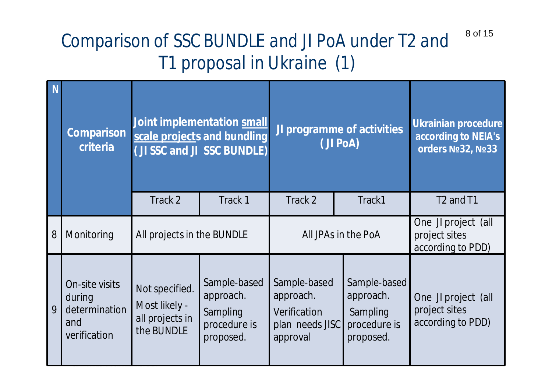#### *Comparison of SSC BUNDLE and JI PoA under T2 and T1 proposal in Ukraine (1)* 8 of 15

| N | <b>Comparison</b><br>criteria                                    |                                                                  | Joint implementation small<br>scale projects and bundling<br>(JI SSC and JI SSC BUNDLE) | JI programme of activities<br>(JI PoA)                                   |                                                                    | <b>Ukrainian procedure</b><br>according to NEIA's<br>orders Nº32, Nº33 |
|---|------------------------------------------------------------------|------------------------------------------------------------------|-----------------------------------------------------------------------------------------|--------------------------------------------------------------------------|--------------------------------------------------------------------|------------------------------------------------------------------------|
|   |                                                                  | Track 2                                                          | Track 1                                                                                 | Track 2                                                                  | Track1                                                             | T <sub>2</sub> and T <sub>1</sub>                                      |
| 8 | Monitoring                                                       | All projects in the BUNDLE                                       |                                                                                         | All JPAs in the PoA                                                      |                                                                    | One JI project (all<br>project sites<br>according to PDD)              |
| 9 | On-site visits<br>during<br>determination<br>and<br>verification | Not specified.<br>Most likely -<br>all projects in<br>the BUNDLE | Sample-based<br>approach.<br>Sampling<br>procedure is<br>proposed.                      | Sample-based<br>approach.<br>Verification<br>plan needs JISC<br>approval | Sample-based<br>approach.<br>Sampling<br>procedure is<br>proposed. | One JI project (all<br>project sites<br>according to PDD)              |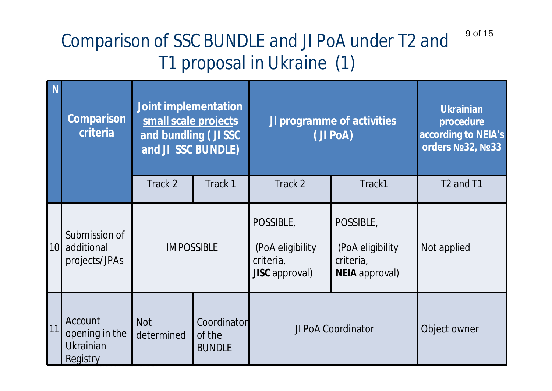#### *Comparison of SSC BUNDLE and JI PoA under T2 and T1 proposal in Ukraine (1)* 9 of 15

| N               | <b>Comparison</b><br>criteria                                    | <b>Joint implementation</b><br>small scale projects<br>and bundling (JI SSC<br>and JI SSC BUNDLE) |                                        | JI programme of activities<br>(JI PoA)                              |                                                                     | <b>Ukrainian</b><br>procedure<br>according to NEIA's<br>orders Nº32, Nº33 |
|-----------------|------------------------------------------------------------------|---------------------------------------------------------------------------------------------------|----------------------------------------|---------------------------------------------------------------------|---------------------------------------------------------------------|---------------------------------------------------------------------------|
|                 |                                                                  | Track 2                                                                                           | Track 1                                | Track 2                                                             | Track1                                                              | T <sub>2</sub> and T <sub>1</sub>                                         |
| 10 <sup>1</sup> | Submission of<br>additional<br>projects/JPAs                     | <b>IMPOSSIBLE</b>                                                                                 |                                        | POSSIBLE,<br>(PoA eligibility<br>criteria,<br><b>JISC</b> approval) | POSSIBLE,<br>(PoA eligibility<br>criteria,<br><b>NEIA</b> approval) | Not applied                                                               |
| 11              | <b>Account</b><br>opening in the<br><b>Ukrainian</b><br>Registry | <b>Not</b><br>determined                                                                          | Coordinator<br>of the<br><b>BUNDLE</b> | JI PoA Coordinator                                                  |                                                                     | Object owner                                                              |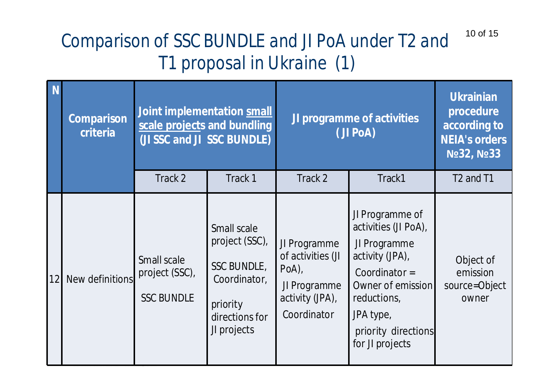#### *Comparison of SSC BUNDLE and JI PoA under T2 and T1 proposal in Ukraine (1)* 10 of 15

|    | <b>Comparison</b><br>criteria | Joint implementation small<br>scale projects and bundling<br>(JI SSC and JI SSC BUNDLE) |                                                                                                                  | <b>JI programme of activities</b><br>(JI PoA)                                                   |                                                                                                                                                                                          | <b>Ukrainian</b><br>procedure<br>according to<br><b>NEIA's orders</b><br>No 32, No 33 |
|----|-------------------------------|-----------------------------------------------------------------------------------------|------------------------------------------------------------------------------------------------------------------|-------------------------------------------------------------------------------------------------|------------------------------------------------------------------------------------------------------------------------------------------------------------------------------------------|---------------------------------------------------------------------------------------|
|    |                               | Track 2                                                                                 | Track 1                                                                                                          | Track 2                                                                                         | Track1                                                                                                                                                                                   | T <sub>2</sub> and T <sub>1</sub>                                                     |
| 12 | New definitions               | Small scale<br>project (SSC),<br><b>SSC BUNDLE</b>                                      | Small scale<br>project (SSC),<br><b>SSC BUNDLE,</b><br>Coordinator,<br>priority<br>directions for<br>JI projects | JI Programme<br>of activities (JI<br>$PoA$ ),<br>JI Programme<br>activity (JPA),<br>Coordinator | JI Programme of<br>activities (JI PoA),<br>JI Programme<br>activity (JPA),<br>Coordinator $=$<br>Owner of emission<br>reductions,<br>JPA type,<br>priority directions<br>for JI projects | Object of<br>emission<br>source=Object<br>owner                                       |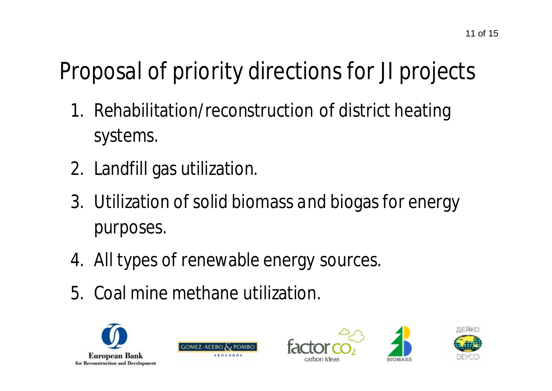## *Proposal of priority directions for JI projects*

- 1. Rehabilitation/reconstruction of district heating systems.
- 2. Landfill gas utilization.
- 3. Utilization of solid biomass and biogas for energy purposes.
- 4. All types of renewable energy sources.
- 5. Coal mine methane utilization.









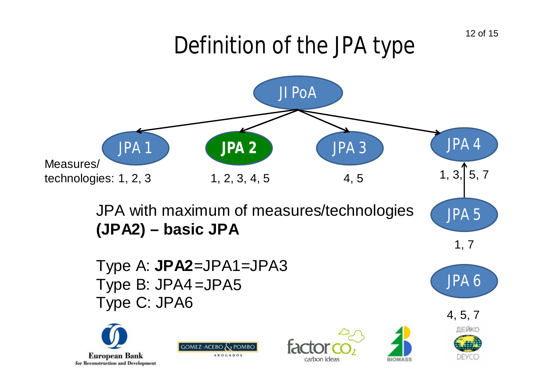## *Definition of the JPA type*



Type A: **JPA2**=JPA1=JPA3 Type B: JPA4 =JPA5 Type C: JPA6











JPA 6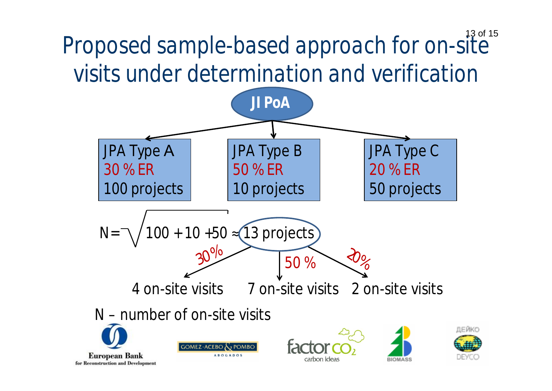*Proposed sample-based approach for on-site visits under determination and verification* 13 of 15

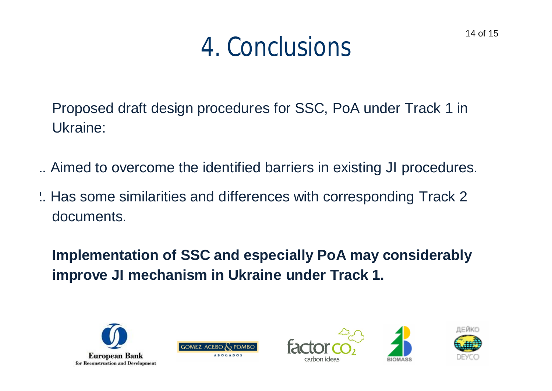## *4. Conclusions*

Proposed draft design procedures for SSC, PoA under Track 1 in Ukraine:

- 1. Aimed to overcome the identified barriers in existing JI procedures.
- 2. Has some similarities and differences with corresponding Track 2 documents.

**Implementation of SSC and especially PoA may considerably improve JI mechanism in Ukraine under Track 1.**